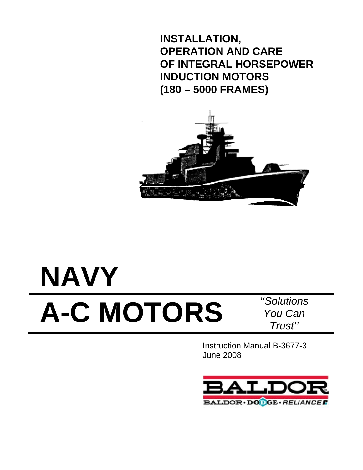**INSTALLATION, OPERATION AND CARE OF INTEGRAL HORSEPOWER INDUCTION MOTORS (180 – 5000 FRAMES)** 



# **NAVY A-C MOTORS** *''Solutions*

*You Can Trust''*

Instruction Manual B-3677-3 June 2008

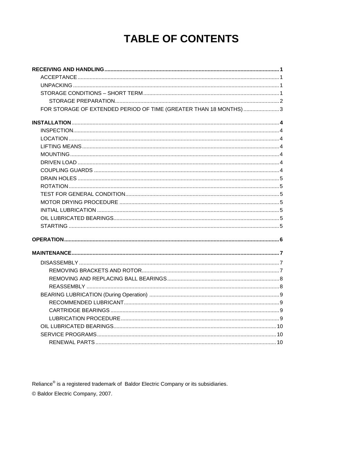# **TABLE OF CONTENTS**

| FOR STORAGE OF EXTENDED PERIOD OF TIME (GREATER THAN 18 MONTHS) 3 |  |
|-------------------------------------------------------------------|--|
|                                                                   |  |
|                                                                   |  |
|                                                                   |  |
|                                                                   |  |
|                                                                   |  |
|                                                                   |  |
|                                                                   |  |
|                                                                   |  |
|                                                                   |  |
|                                                                   |  |
|                                                                   |  |
|                                                                   |  |
|                                                                   |  |
|                                                                   |  |
|                                                                   |  |
|                                                                   |  |
|                                                                   |  |
|                                                                   |  |
|                                                                   |  |
|                                                                   |  |
|                                                                   |  |
|                                                                   |  |
|                                                                   |  |
|                                                                   |  |
|                                                                   |  |
|                                                                   |  |
|                                                                   |  |

Reliance<sup>®</sup> is a registered trademark of Baldor Electric Company or its subsidiaries. © Baldor Electric Company, 2007.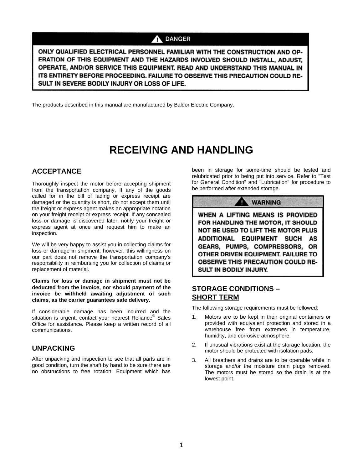#### **DANGER** Λ

ONLY QUALIFIED ELECTRICAL PERSONNEL FAMILIAR WITH THE CONSTRUCTION AND OP-ERATION OF THIS EQUIPMENT AND THE HAZARDS INVOLVED SHOULD INSTALL, ADJUST, OPERATE, AND/OR SERVICE THIS EQUIPMENT. READ AND UNDERSTAND THIS MANUAL IN ITS ENTIRETY BEFORE PROCEEDING. FAILURE TO OBSERVE THIS PRECAUTION COULD RE-SULT IN SEVERE BODILY INJURY OR LOSS OF LIFE.

The products described in this manual are manufactured by Baldor Electric Company.

# **RECEIVING AND HANDLING**

### **ACCEPTANCE**

Thoroughly inspect the motor before accepting shipment from the transportation company. If any of the goods called for in the bill of lading or express receipt are damaged or the quantity is short, do not accept them until the freight or express agent makes an appropriate notation on your freight receipt or express receipt. If any concealed loss or damage is discovered later, notify your freight or express agent at once and request him to make an inspection.

We will be very happy to assist you in collecting claims for loss or damage in shipment; however, this willingness on our part does not remove the transportation company's responsibility in reimbursing you for collection of claims or replacement of material.

**Claims for loss or damage in shipment must not be deducted from the invoice, nor should payment of the invoice be withheld awaiting adjustment of such claims, as the carrier guarantees safe delivery.**

If considerable damage has been incurred and the situation is urgent, contact your nearest Reliance® Sales Office for assistance. Please keep a written record of all communications.

#### **UNPACKING**

After unpacking and inspection to see that all parts are in good condition, turn the shaft by hand to be sure there are no obstructions to free rotation. Equipment which has

been in storage for some-time should be tested and relubricated prior to being put into service. Refer to "Test for General Condition" and "Lubrication" for procedure to be performed after extended storage.



### **STORAGE CONDITIONS – SHORT TERM**

The following storage requirements must be followed:

- 1. Motors are to be kept in their original containers or provided with equivalent protection and stored in a warehouse free from extremes in temperature, humidity, and corrosive atmosphere.
- 2. If unusual vibrations exist at the storage location, the motor should be protected with isolation pads.
- 3. All breathers and drains are to be operable while in storage and/or the moisture drain plugs removed. The motors must be stored so the drain is at the lowest point.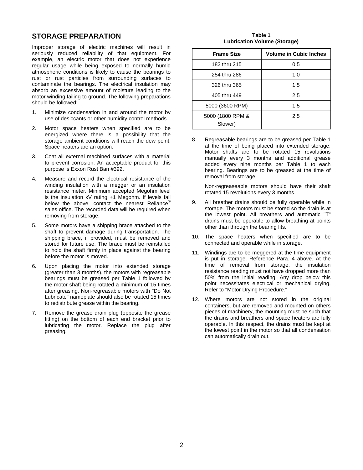#### **STORAGE PREPARATION**

Improper storage of electric machines will result in seriously reduced reliability of that equipment. For example, an electric motor that does not experience regular usage while being exposed to normally humid atmospheric conditions is likely to cause the bearings to rust or rust particles from surrounding surfaces to contaminate the bearings. The electrical insulation may absorb an excessive amount of moisture leading to the motor winding failing to ground. The following preparations should be followed:

- 1. Minimize condensation in and around the motor by use of desiccants or other humidity control methods.
- 2. Motor space heaters when specified are to be energized where there is a possibility that the storage ambient conditions will reach the dew point. Space heaters are an option.
- 3. Coat all external machined surfaces with a material to prevent corrosion. An acceptable product for this purpose is Exxon Rust Ban #392.
- 4. Measure and record the electrical resistance of the winding insulation with a megger or an insulation resistance meter. Minimum accepted Megohm level is the insulation kV rating +1 Megohm. If levels fall below the above, contact the nearest Reliance® sales office. The recorded data will be required when removing from storage.
- 5. Some motors have a shipping brace attached to the shaft to prevent damage during transportation. The shipping brace, if provided, must be removed and stored for future use. The brace must be reinstalled to hold the shaft firmly in place against the bearing before the motor is moved.
- 6. Upon placing the motor into extended storage (greater than 3 months), the motors with regreasable bearings must be greased per Table 1 followed by the motor shaft being rotated a minimum of 15 times after greasing. Non-regreasable motors with "Do Not Lubricate" nameplate should also be rotated 15 times to redistribute grease within the bearing.
- 7. Remove the grease drain plug (opposite the grease fitting) on the bottom of each end bracket prior to lubricating the motor. Replace the plug after greasing.

**Table 1 Lubrication Volume (Storage)** 

| <b>Frame Size</b>           | <b>Volume in Cubic Inches</b> |
|-----------------------------|-------------------------------|
| 182 thru 215                | 0.5                           |
| 254 thru 286                | 1.0                           |
| 326 thru 365                | 1.5                           |
| 405 thru 449                | 2.5                           |
| 5000 (3600 RPM)             | 1.5                           |
| 5000 (1800 RPM &<br>Slower) | 2.5                           |

8. Regreasable bearings are to be greased per Table 1 at the time of being placed into extended storage. Motor shafts are to be rotated 15 revolutions manually every 3 months and additional grease added every nine months per Table 1 to each bearing. Bearings are to be greased at the time of removal from storage.

Non-regreaseable motors should have their shaft rotated 15 revolutions every 3 months.

- 9. All breather drains should be fully operable while in storage. The motors must be stored so the drain is at the lowest point. All breathers and automatic "T" drains must be operable to allow breathing at points other than through the bearing fits.
- 10. The space heaters when specified are to be connected and operable while in storage.
- 11. Windings are to be meggered at the time equipment is put in storage. Reference Para. 4 above. At the time of removal from storage, the insulation resistance reading must not have dropped more than 50% from the initial reading. Any drop below this point necessitates electrical or mechanical drying. Refer to "Motor Drying Procedure."
- 12. Where motors are not stored in the original containers, but are removed and mounted on others pieces of machinery, the mounting must be such that the drains and breathers and space heaters are fully operable. In this respect, the drains must be kept at the lowest point in the motor so that all condensation can automatically drain out.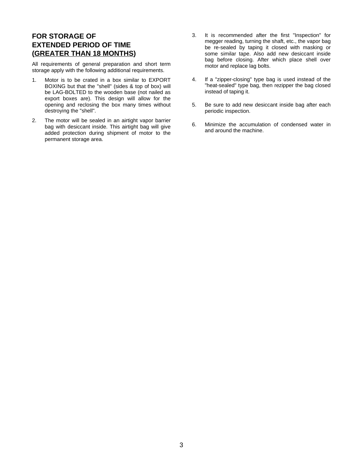## **FOR STORAGE OF EXTENDED PERIOD OF TIME (GREATER THAN 18 MONTHS)**

All requirements of general preparation and short term storage apply with the following additional requirements.

- 1. Motor is to be crated in a box similar to EXPORT BOXING but that the "shell" (sides & top of box) will be LAG-BOLTED to the wooden base (not nailed as export boxes are). This design will allow for the opening and reclosing the box many times without destroying the "shell".
- 2. The motor will be sealed in an airtight vapor barrier bag with desiccant inside. This airtight bag will give added protection during shipment of motor to the permanent storage area.
- 3. It is recommended after the first "Inspection" for megger reading, turning the shaft, etc., the vapor bag be re-sealed by taping it closed with masking or some similar tape. Also add new desiccant inside bag before closing. After which place shell over motor and replace lag bolts.
- 4. If a "zipper-closing" type bag is used instead of the "heat-sealed" type bag, then rezipper the bag closed instead of taping it.
- 5. Be sure to add new desiccant inside bag after each periodic inspection.
- 6. Minimize the accumulation of condensed water in and around the machine.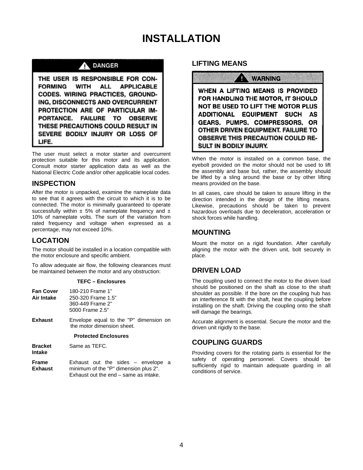# **INSTALLATION**

#### **DANGER** Λ

THE USER IS RESPONSIBLE FOR CON-**FORMING WITH ALL APPLICABLE** CODES. WIRING PRACTICES, GROUND-ING. DISCONNECTS AND OVERCURRENT PROTECTION ARE OF PARTICULAR IM-PORTANCE. **FAILURE TO OBSERVE** THESE PRECAUTIONS COULD RESULT IN SEVERE BODILY INJURY OR LOSS OF LIFE.

The user must select a motor starter and overcurrent protection suitable for this motor and its application. Consult motor starter application data as well as the National Electric Code and/or other applicable local codes.

#### **INSPECTION**

After the motor is unpacked, examine the nameplate data to see that it agrees with the circuit to which it is to be connected. The motor is minimally guaranteed to operate successfully within  $\pm$  5% of nameplate frequency and  $\pm$ 10% of nameplate volts. The sum of the variation from rated frequency and voltage when expressed as a percentage, may not exceed 10%.

### **LOCATION**

The motor should be installed in a location compatible with the motor enclosure and specific ambient.

To allow adequate air flow, the following clearances must be maintained between the motor and any obstruction:

#### **TEFC – Enclosures**

| <b>Fan Cover</b><br>Air Intake | 180-210 Frame 1"<br>250-320 Frame 1.5"<br>360-449 Frame 2"<br>5000 Frame 2.5" |  |
|--------------------------------|-------------------------------------------------------------------------------|--|
| Exhaust                        | Envelope equal to the "P" dimension on<br>the motor dimension sheet.          |  |
|                                | <b>Protected Enclosures</b>                                                   |  |
| <b>Bracket</b><br>Intake       | Same as TEFC.                                                                 |  |
| Frame                          | Exhaust out the sides $-$ envelope a<br>.<br>$\cdots$                         |  |

**Exhaust** minimum of the "P" dimension plus 2". Exhaust out the end – same as intake.

#### **LIFTING MEANS**

**WARNING** 

WHEN A LIFTING MEANS IS PROVIDED FOR HANDLING THE MOTOR, IT SHOULD NOT BE USED TO LIFT THE MOTOR PLUS ADDITIONAL EQUIPMENT SUCH AS GEARS, PUMPS, COMPRESSORS, OR OTHER DRIVEN EQUIPMENT. FAILURE TO **OBSERVE THIS PRECAUTION COULD RE-SULT IN BODILY INJURY.** 

When the motor is installed on a common base, the eyebolt provided on the motor should not be used to lift the assembly and base but, rather, the assembly should be lifted by a sling around the base or by other lifting means provided on the base.

In all cases, care should be taken to assure lifting in the direction intended in the design of the lifting means. Likewise, precautions should be taken to prevent hazardous overloads due to deceleration, acceleration or shock forces while handling.

## **MOUNTING**

Mount the motor on a rigid foundation. After carefully aligning the motor with the driven unit, bolt securely in place.

### **DRIVEN LOAD**

The coupling used to connect the motor to the driven load should be positioned on the shaft as close to the shaft shoulder as possible. If the bore on the coupling hub has an interference fit with the shaft, heat the coupling before installing on the shaft. Driving the coupling onto the shaft will damage the bearings.

Accurate alignment is essential. Secure the motor and the driven unit rigidly to the base.

### **COUPLING GUARDS**

Providing covers for the rotating parts is essential for the safety of operating personnel. Covers should be sufficiently rigid to maintain adequate guarding in all conditions of service.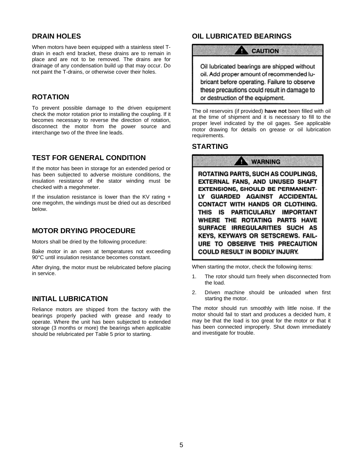#### **DRAIN HOLES**

When motors have been equipped with a stainless steel Tdrain in each end bracket, these drains are to remain in place and are not to be removed. The drains are for drainage of any condensation build up that may occur. Do not paint the T-drains, or otherwise cover their holes.

#### **ROTATION**

To prevent possible damage to the driven equipment check the motor rotation prior to installing the coupling. If it becomes necessary to reverse the direction of rotation, disconnect the motor from the power source and interchange two of the three line leads.

#### **TEST FOR GENERAL CONDITION**

If the motor has been in storage for an extended period or has been subjected to adverse moisture conditions, the insulation resistance of the stator winding must be checked with a megohmeter.

If the insulation resistance is lower than the KV rating  $+$ one megohm, the windings must be dried out as described below.

#### **MOTOR DRYING PROCEDURE**

Motors shall be dried by the following procedure:

Bake motor in an oven at temperatures not exceeding 90°C until insulation resistance becomes constant.

After drying, the motor must be relubricated before placing in service.

#### **INITIAL LUBRICATION**

Reliance motors are shipped from the factory with the bearings properly packed with grease and ready to operate. Where the unit has been subjected to extended storage (3 months or more) the bearings when applicable should be relubricated per Table 5 prior to starting.

### **OIL LUBRICATED BEARINGS**

o

**CAUTION** 

Oil lubricated bearings are shipped without oil. Add proper amount of recommended lubricant before operating. Failure to observe these precautions could result in damage to or destruction of the equipment.

The oil reservoirs (if provided) **have not** been filled with oil at the time of shipment and it is necessary to fill to the proper level indicated by the oil gages. See applicable motor drawing for details on grease or oil lubrication requirements.

#### **STARTING**

**WARNING** п ROTATING PARTS, SUCH AS COUPLINGS, EXTERNAL FANS, AND UNUSED SHAFT **EXTENSIONS, SHOULD BE PERMANENT-**LY GUARDED AGAINST ACCIDENTAL CONTACT WITH HANDS OR CLOTHING. THIS IS PARTICULARLY IMPORTANT WHERE THE ROTATING PARTS HAVE SURFACE IRREGULARITIES SUCH AS KEYS, KEYWAYS OR SETSCREWS. FAIL-URE TO OBSERVE THIS PRECAUTION **COULD RESULT IN BODILY INJURY.** 

When starting the motor, check the following items:

- 1. The rotor should turn freely when disconnected from the load.
- 2. Driven machine should be unloaded when first starting the motor.

The motor should run smoothly with little noise. If the motor should fail to start and produces a decided hum, it may be that the load is too great for the motor or that it has been connected improperly. Shut down immediately and investigate for trouble.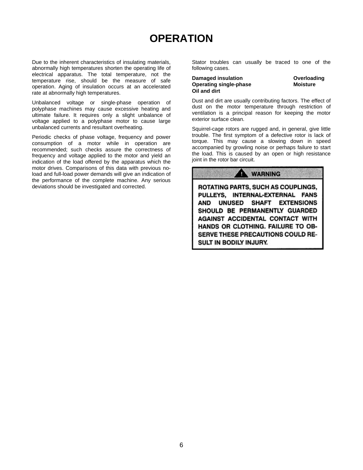# **OPERATION**

Due to the inherent characteristics of insulating materials, abnormally high temperatures shorten the operating life of electrical apparatus. The total temperature, not the temperature rise, should be the measure of safe operation. Aging of insulation occurs at an accelerated rate at abnormally high temperatures.

Unbalanced voltage or single-phase operation of polyphase machines may cause excessive heating and ultimate failure. It requires only a slight unbalance of voltage applied to a polyphase motor to cause large unbalanced currents and resultant overheating.

Periodic checks of phase voltage, frequency and power consumption of a motor while in operation are recommended; such checks assure the correctness of frequency and voltage applied to the motor and yield an indication of the load offered by the apparatus which the motor drives. Comparisons of this data with previous noload and full-load power demands will give an indication of the performance of the complete machine. Any serious deviations should be investigated and corrected.

Stator troubles can usually be traced to one of the following cases.

#### **Damaged insulation Electronic Coverloading**<br> **Overating single-phase Cover Branch Cover Branch Cover Branch Cover Branch Cover Branch Cover Branch Cover B Operating single-phase Oil and dirt**

Dust and dirt are usually contributing factors. The effect of dust on the motor temperature through restriction of ventilation is a principal reason for keeping the motor exterior surface clean.

Squirrel-cage rotors are rugged and, in general, give little trouble. The first symptom of a defective rotor is lack of torque. This may cause a slowing down in speed accompanied by growling noise or perhaps failure to start the load. This is caused by an open or high resistance joint in the rotor bar circuit.

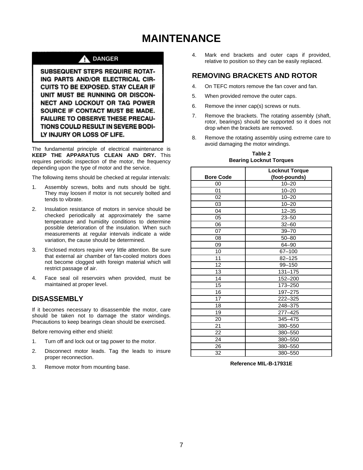# **MAINTENANCE**

## **DANGER**

SUBSEQUENT STEPS REQUIRE ROTAT-ING PARTS AND/OR ELECTRICAL CIR-**CUITS TO BE EXPOSED. STAY CLEAR IF** UNIT MUST BE RUNNING OR DISCON-NECT AND LOCKOUT OR TAG POWER SOURCE IF CONTACT MUST BE MADE. FAILURE TO OBSERVE THESE PRECAU-TIONS COULD RESULT IN SEVERE BODI-LY INJURY OR LOSS OF LIFE.

The fundamental principle of electrical maintenance is **KEEP THE APPARATUS CLEAN AND DRY.** This requires periodic inspection of the motor, the frequency depending upon the type of motor and the service.

The following items should be checked at regular intervals:

- 1. Assembly screws, bolts and nuts should be tight. They may loosen if motor is not securely bolted and tends to vibrate.
- 2. Insulation resistance of motors in service should be checked periodically at approximately the same temperature and humidity conditions to determine possible deterioration of the insulation. When such measurements at regular intervals indicate a wide variation, the cause should be determined.
- 3. Enclosed motors require very little attention. Be sure that external air chamber of fan-cooled motors does not become clogged with foreign material which will restrict passage of air.
- 4. Face seal oil reservoirs when provided, must be maintained at proper level.

# **DISASSEMBLY**

If it becomes necessary to disassemble the motor, care should be taken not to damage the stator windings. Precautions to keep bearings clean should be exercised.

Before removing either end shield:

- 1. Turn off and lock out or tag power to the motor.
- 2. Disconnect motor leads. Tag the leads to insure proper reconnection.
- 3. Remove motor from mounting base.

4. Mark end brackets and outer caps if provided, relative to position so they can be easily replaced.

#### **REMOVING BRACKETS AND ROTOR**

- 4. On TEFC motors remove the fan cover and fan.
- 5. When provided remove the outer caps.
- 6. Remove the inner cap(s) screws or nuts.
- 7. Remove the brackets. The rotating assembly (shaft, rotor, bearings) should be supported so it does not drop when the brackets are removed.
- 8. Remove the rotating assembly using extreme care to avoid damaging the motor windings.

|                  | <b>Locknut Torque</b> |
|------------------|-----------------------|
| <b>Bore Code</b> | (foot-pounds)         |
| 00               | $10 - 20$             |
| 01               | $10 - 20$             |
| 02               | $10 - 20$             |
| 03               | $10 - 20$             |
| 04               | $12 - 35$             |
| 05               | $23 - 50$             |
| 06               | $32 - 60$             |
| 07               | $39 - 70$             |
| 08               | $50 - 80$             |
| 09               | $64 - 90$             |
| 10               | 67-100                |
| 11               | $82 - 125$            |
| 12               | 99-150                |
| 13               | $131 - 175$           |
| 14               | 152-200               |
| 15               | 173-250               |
| 16               | 197-275               |
| 17               | 222-325               |
| 18               | 248-375               |
| 19               | $277 - 425$           |
| 20               | 345-475               |
| 21               | 380-550               |
| 22               | 380-550               |
| 24               | 380-550               |
| 26               | 380-550               |
| 32               | 380-550               |

**Table 2 Bearing Locknut Torques**

**Reference MIL-B-17931E**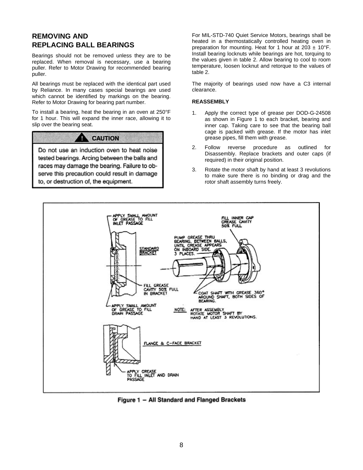## **REMOVING AND REPLACING BALL BEARINGS**

Bearings should not be removed unless they are to be replaced. When removal is necessary, use a bearing puller. Refer to Motor Drawing for recommended bearing puller.

All bearings must be replaced with the identical part used by Reliance. In many cases special bearings are used which cannot be identified by markings on the bearing. Refer to Motor Drawing for bearing part number.

To install a bearing, heat the bearing in an oven at 250°F for 1 hour. This will expand the inner race, allowing it to slip over the bearing seat.

# **CAUTION**

u

Do not use an induction oven to heat noise tested bearings. Arcing between the balls and races may damage the bearing. Failure to observe this precaution could result in damage to, or destruction of, the equipment.

For MIL-STD-740 Quiet Service Motors, bearings shall be heated in a thermostatically controlled heating oven in preparation for mounting. Heat for 1 hour at  $203 \pm 10^{\circ}$ F. Install bearing locknuts while bearings are hot, torquing to the values given in table 2. Allow bearing to cool to room temperature, loosen locknut and retorque to the values of table 2.

The majority of bearings used now have a C3 internal clearance.

#### **REASSEMBLY**

- 1. Apply the correct type of grease per DOD-G-24508 as shown in Figure 1 to each bracket, bearing and inner cap. Taking care to see that the bearing ball cage is packed with grease. If the motor has inlet grease pipes, fill them with grease.
- 2. Follow reverse procedure as outlined for Disassembly. Replace brackets and outer caps (if required) in their original position.
- 3. Rotate the motor shaft by hand at least 3 revolutions to make sure there is no binding or drag and the rotor shaft assembly turns freely.



Figure 1 - All Standard and Flanged Brackets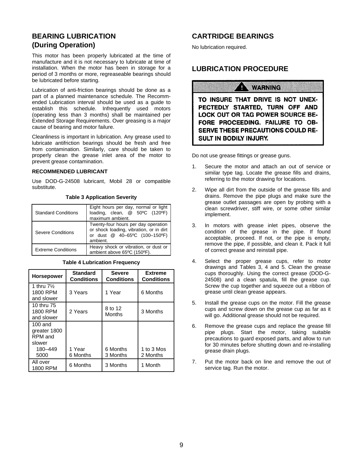## **BEARING LUBRICATION (During Operation)**

This motor has been properly lubricated at the time of manufacture and it is not necessary to lubricate at time of installation. When the motor has been in storage for a period of 3 months or more, regreaseable bearings should be lubricated before starting.

Lubrication of anti-friction bearings should be done as a part of a planned maintenance schedule. The Recommended Lubrication interval should be used as a guide to establish this schedule. Infrequently used motors (operating less than 3 months) shall be maintained per Extended Storage Requirements. Over greasing is a major cause of bearing and motor failure.

Cleanliness is important in lubrication. Any grease used to lubricate antifriction bearings should be fresh and free from contamination. Similarly, care should be taken to properly clean the grease inlet area of the motor to prevent grease contamination.

#### **RECOMMENDED LUBRICANT**

Use DOD-G-24508 lubricant, Mobil 28 or compatible substitute.

**Table 3 Application Severity** 

| <b>Standard Conditions</b> | Eight hours per day, normal or light<br>loading, clean, @ 50°C (120°F)<br>maximum ambient.                                  |  |
|----------------------------|-----------------------------------------------------------------------------------------------------------------------------|--|
| Severe Conditions          | Twenty-four hours per day operation<br>or shock loading, vibration, or in dirt<br>or dust @ 40-65°C (100-150°F)<br>ambient. |  |
| <b>Extreme Conditions</b>  | Heavy shock or vibration, or dust or<br>ambient above 65°C (150°F).                                                         |  |

#### **Table 4 Lubrication Frequency**

| <b>Horsepower</b>                                                 | <b>Standard</b><br><b>Conditions</b> | <b>Severe</b><br><b>Conditions</b> | <b>Extreme</b><br><b>Conditions</b> |
|-------------------------------------------------------------------|--------------------------------------|------------------------------------|-------------------------------------|
| 1 thru $7\%$<br>1800 RPM<br>and slower                            | 3 Years                              | 1 Year                             | 6 Months                            |
| 10 thru 75<br>1800 RPM<br>and slower                              | 2 Years                              | 8 to 12<br>Months                  | 3 Months                            |
| $100$ and<br>greater 1800<br>RPM and<br>slower<br>180-449<br>5000 | 1 Year<br>6 Months                   | 6 Months<br>3 Months               | 1 to 3 Mos<br>2 Months              |
| All over<br>1800 RPM                                              | 6 Months                             | 3 Months                           | 1 Month                             |

#### **CARTRIDGE BEARINGS**

No lubrication required.

#### **LUBRICATION PROCEDURE**

#### **WARNING**

TO INSURE THAT DRIVE IS NOT UNEX-PECTEDLY STARTED, TURN OFF AND LOCK OUT OR TAG POWER SOURCE BE-FORE PROCEEDING. FAILURE TO OB-**SERVE THESE PRECAUTIONS COULD RE-SULT IN BODILY INJURY.** 

Do not use grease fittings or grease guns.

- 1. Secure the motor and attach an out of service or similar type tag. Locate the grease fills and drains, referring to the motor drawing for locations.
- 2. Wipe all dirt from the outside of the grease fills and drains. Remove the pipe plugs and make sure the grease outlet passages are open by probing with a clean screwdriver, stiff wire, or some other similar implement.
- 3. In motors with grease inlet pipes, observe the condition of the grease in the pipe. If found acceptable, proceed. If not, or the pipe is empty, remove the pipe, if possible, and clean it. Pack it full of correct grease and reinstall pipe.
- 4. Select the proper grease cups, refer to motor drawings and Tables 3, 4 and 5. Clean the grease cups thoroughly. Using the correct grease (DOD-G-24508) and a clean spatula, fill the grease cup. Screw the cup together and squeeze out a ribbon of grease until clean grease appears.
- 5. Install the grease cups on the motor. Fill the grease cups and screw down on the grease cup as far as it will go. Additional grease should not be required.
- 6. Remove the grease cups and replace the grease fill pipe plugs. Start the motor, taking suitable precautions to guard exposed parts, and allow to run for 30 minutes before shutting down and re-installing grease drain plugs.
- 7. Put the motor back on line and remove the out of service tag. Run the motor.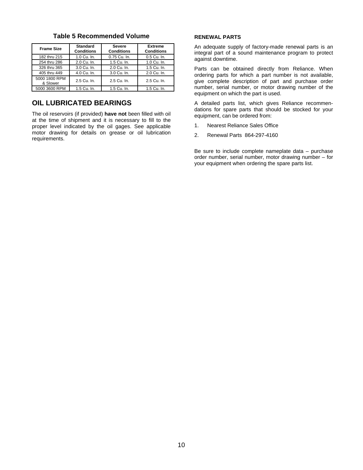| <b>Frame Size</b>         | Standard<br><b>Conditions</b> | <b>Severe</b><br><b>Conditions</b> | <b>Extreme</b><br><b>Conditions</b> |
|---------------------------|-------------------------------|------------------------------------|-------------------------------------|
| 182 thru 215              | 1.0 Cu. In.                   | 0.75 Cu. In.                       | 0.5 Cu. In.                         |
| 254 thru 286              | 2.0 Cu. In.                   | 1.5 Cu. In.                        | 1.0 Cu. In.                         |
| 326 thru 365              | 3.0 Cu. In.                   | 2.0 Cu. In.                        | 1.5 Cu. In.                         |
| 405 thru 449              | 4.0 Cu. In.                   | 3.0 Cu. In.                        | 2.0 Cu. In.                         |
| 5000 1800 RPM<br>& Slower | 2.5 Cu. In.                   | 2.5 Cu. In.                        | 2.5 Cu. In.                         |
| 5000 3600 RPM             | 1.5 Cu. In.                   | 1.5 Cu. In.                        | 1.5 Cu. In.                         |

#### **Table 5 Recommended Volume**

#### **OIL LUBRICATED BEARINGS**

The oil reservoirs (if provided) **have not** been filled with oil at the time of shipment and it is necessary to fill to the proper level indicated by the oil gages. See applicable motor drawing for details on grease or oil lubrication requirements.

#### **RENEWAL PARTS**

An adequate supply of factory-made renewal parts is an integral part of a sound maintenance program to protect against downtime.

Parts can be obtained directly from Reliance. When ordering parts for which a part number is not available, give complete description of part and purchase order number, serial number, or motor drawing number of the equipment on which the part is used.

A detailed parts list, which gives Reliance recommendations for spare parts that should be stocked for your equipment, can be ordered from:

- 1. Nearest Reliance Sales Office
- 2. Renewal Parts 864-297-4160

Be sure to include complete nameplate data – purchase order number, serial number, motor drawing number – for your equipment when ordering the spare parts list.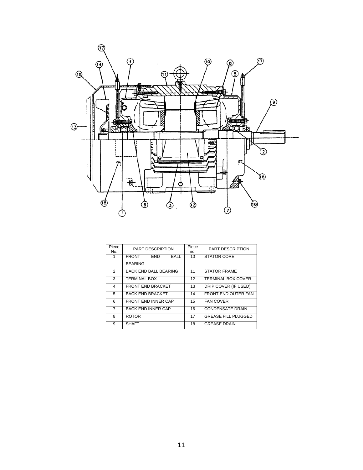

| Piece<br>No.  | <b>PART DESCRIPTION</b>                   | Piece<br>no. | <b>PART DESCRIPTION</b>    |
|---------------|-------------------------------------------|--------------|----------------------------|
|               | <b>FRONT</b><br><b>FND</b><br><b>BALL</b> | 10           | <b>STATOR CORE</b>         |
|               | <b>BEARING</b>                            |              |                            |
| $\mathcal{P}$ | <b>BACK END BALL BEARING</b>              | 11           | <b>STATOR FRAME</b>        |
| 3             | <b>TERMINAL BOX</b>                       | 12           | <b>TERMINAL BOX COVER</b>  |
| 4             | <b>FRONT END BRACKET</b>                  | 13           | DRIP COVER (IF USED)       |
| 5             | <b>BACK END BRACKET</b>                   | 14           | FRONT END OUTER FAN        |
| 6             | <b>FRONT END INNER CAP</b>                | 15           | <b>FAN COVER</b>           |
| 7             | <b>BACK END INNER CAP</b>                 | 16           | <b>CONDENSATE DRAIN</b>    |
| 8             | <b>ROTOR</b>                              | 17           | <b>GREASE FILL PLUGGED</b> |
| 9             | <b>SHAFT</b>                              | 18           | <b>GREASE DRAIN</b>        |